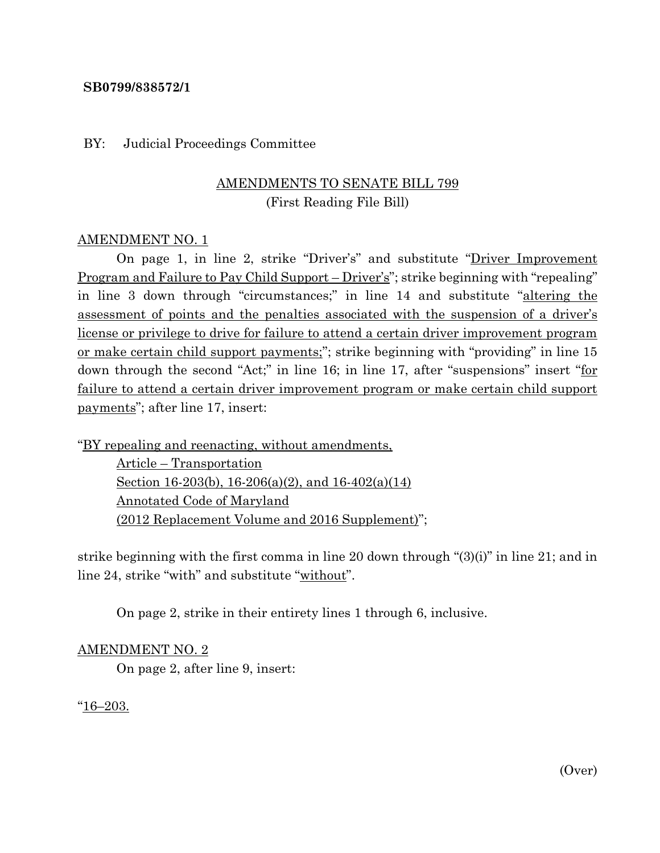# **SB0799/838572/1**

#### BY: Judicial Proceedings Committee

# AMENDMENTS TO SENATE BILL 799 (First Reading File Bill)

# AMENDMENT NO. 1

On page 1, in line 2, strike "Driver's" and substitute "Driver Improvement Program and Failure to Pay Child Support – Driver's"; strike beginning with "repealing" in line 3 down through "circumstances;" in line 14 and substitute "altering the assessment of points and the penalties associated with the suspension of a driver's license or privilege to drive for failure to attend a certain driver improvement program or make certain child support payments;"; strike beginning with "providing" in line 15 down through the second "Act;" in line 16; in line 17, after "suspensions" insert "for failure to attend a certain driver improvement program or make certain child support payments"; after line 17, insert:

"BY repealing and reenacting, without amendments,

Article – Transportation Section 16-203(b), 16-206(a)(2), and 16-402(a)(14) Annotated Code of Maryland (2012 Replacement Volume and 2016 Supplement)";

strike beginning with the first comma in line 20 down through "(3)(i)" in line 21; and in line 24, strike "with" and substitute "without".

On page 2, strike in their entirety lines 1 through 6, inclusive.

#### AMENDMENT NO. 2

On page 2, after line 9, insert:

"16–203.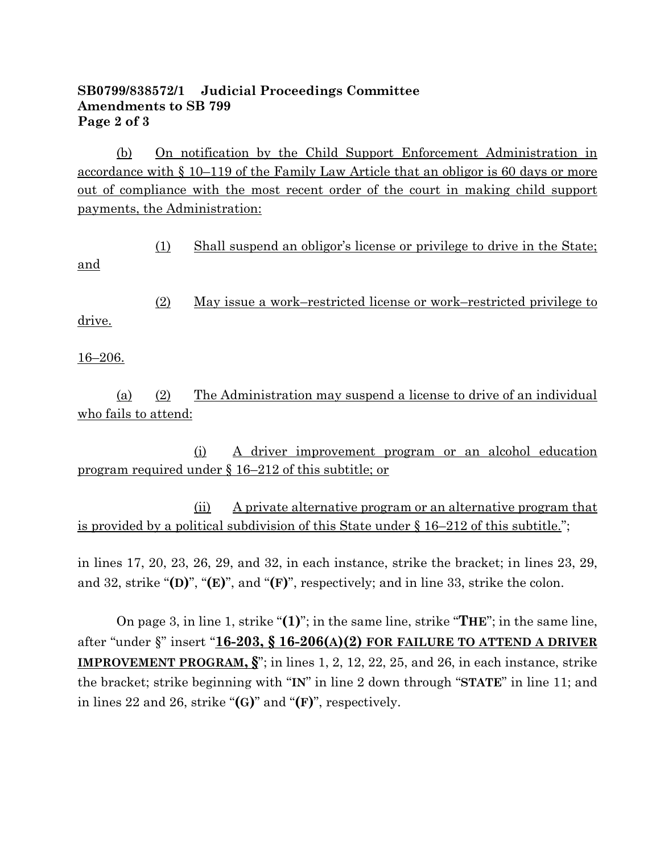# **SB0799/838572/1 Judicial Proceedings Committee Amendments to SB 799 Page 2 of 3**

(b) On notification by the Child Support Enforcement Administration in accordance with § 10–119 of the Family Law Article that an obligor is 60 days or more out of compliance with the most recent order of the court in making child support payments, the Administration:

(1) Shall suspend an obligor's license or privilege to drive in the State;

(2) May issue a work–restricted license or work–restricted privilege to drive.

16–206.

and

(a) (2) The Administration may suspend a license to drive of an individual who fails to attend:

(i) A driver improvement program or an alcohol education program required under § 16–212 of this subtitle; or

(ii) A private alternative program or an alternative program that is provided by a political subdivision of this State under § 16–212 of this subtitle.";

in lines 17, 20, 23, 26, 29, and 32, in each instance, strike the bracket; in lines 23, 29, and 32, strike "**(D)**", "**(E)**", and "**(F)**", respectively; and in line 33, strike the colon.

On page 3, in line 1, strike "**(1)**"; in the same line, strike "**THE**"; in the same line, after "under §" insert "**16-203, § 16-206(A)(2) FOR FAILURE TO ATTEND A DRIVER IMPROVEMENT PROGRAM, §**"; in lines 1, 2, 12, 22, 25, and 26, in each instance, strike the bracket; strike beginning with "**IN**" in line 2 down through "**STATE**" in line 11; and in lines 22 and 26, strike "**(G)**" and "**(F)**", respectively.